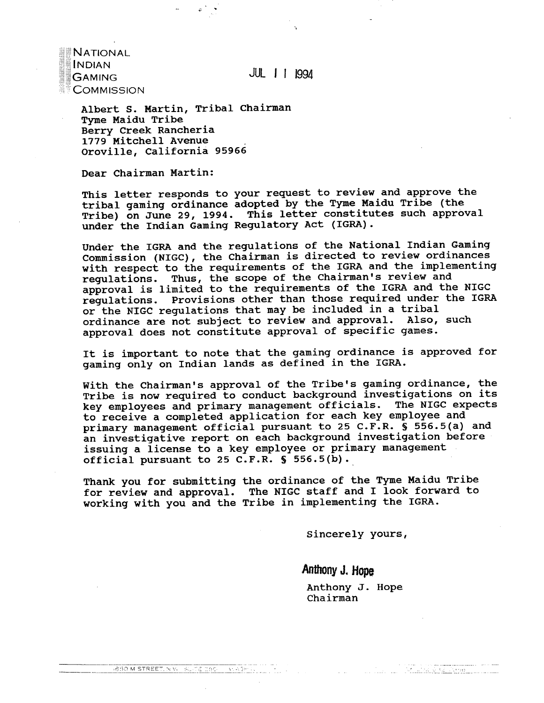NATIONAL **INDIAN GAMING COMMISSION** 

JUL I I **I994** 

**Albert S. Martin, Tribal chairman Tyme Maidu Tribe Berry Creek Rancheria 1779 Mitchell Avenue Oroville, California 95966** 

**Dear Chairman Martin:** 

**This letter responds to your request to review and approve the tribal gaming ordinance adopted by the Tyme Maidu Tribe (the Tribe) on June 29, 1994. This letter constitutes such approval under the Indian Gaming Regulatory Act (IGRA).** 

**Under the IGRA and the regulations of the National Indian Gaming Commission (NIGC), the Chairman is directed to review ordinances with respect to the requirements of the IGRA and the implementing regulations. Thus, the scope of the Chairman's review and approval is limited to the requirements of the IGRA and the NIGC regulations. Provisions other than those required under the IGRA or the NlIGC regulations that may be included in a tribal ordinance are not subject to review and approval. Also, such approval does not constitute approval of specific games.** 

**It is important to note that the gaming ordinance is approved for gaming only on Indian lands as defined in the IGRA.** 

**With the Chairman's approval of the Tribe's gaming ordinance, the Tribe is now required to conduct background investigations on its key employees and primary management officials. The NIGC expects to receive a completed application for each key employee and primary management official pursuant to 25 C.F.R. S 556.5(a) and an investigative report on each background investigation before issuing a license to a key employee or primary management official. pursuant to 25 C.F.R.** \$ **556.5(b).** 

**Thank you for submitting the ordinance of the Tyme Maidu Tribe for review and approval. The NIGC staff and I look forward to working with you and the Tribe in implementing the IGRA.** 

1850 M STREET, N.W. SLIDE CBC | WASHIN | | | |

**Sincerely yours,** 

**Anthony J. Hope** 

 $\sim 10^{11}$  and  $\sim 10^{11}$ 

**Anthony J. Hope Chairman** 

<u> Alexandri William Martin III</u>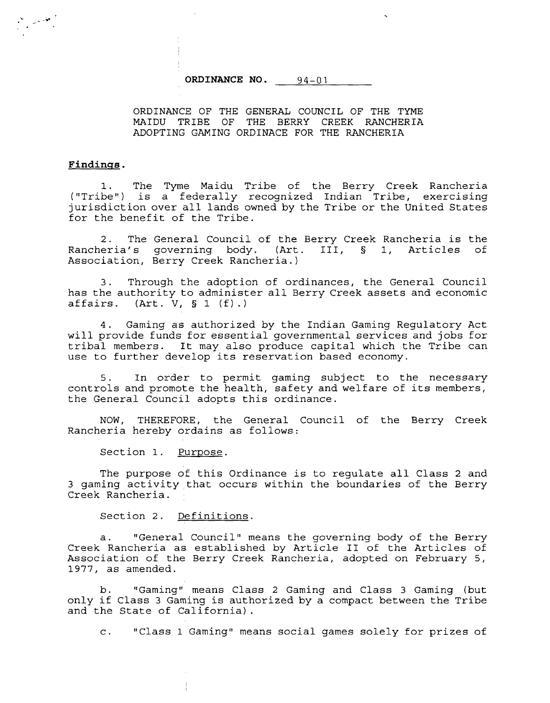**ORDINANCE NO.** 94-01

ORDINANCE OF THE GENERAL COUNCIL OF THE TYME MAIDU TRIBE OF THE BERRY CREEK RANCHERIA ADOPTING GAMING ORDINACE FOR THE RANCHERIA

### **Findinss** .

1. The Tyme Maidu Tribe of the Berry Creek Rancheria ("Tribe") is a federally recognized Indian Tribe, exercising jurisdiction over all lands owned by the Tribe or the United States for the benefit of the Tribe.

2. The General Council of the Berry Creek Rancheria is the<br>eria's governing body. (Art. III, § 1, Articles of Rancheria's governing body. (Art. III, § 1, Articles Association, Berry Creek Rancheria.)

3. Through the adoption of ordinances, the General Council has the authority to administer all Berry Creek assets and economic affairs. (Art. V, § 1 (f).)  $(Rrt. V, S 1 (f)).$ 

4. Gaming as authorized by the Indian Gaming Regulatory Act will provide funds for essential governmental services and jobs for tribal members. It may also produce capital which the Tribe can use to further develop its reservation based economy.

5. In order to permit gaming subject to the necessary controls and promote the health, safety and welfare of its members, the General Council adopts this ordinance.

NOW, THEREFORE, the General Council of the Berry Creek Rancheria hereby ordains as follows:

Section 1. Purpose.

The purpose of this Ordinance is to regulate all Class 2 and 3 gaming activity that occurs within the boundaries of the Berry Creek Rancheria.

Section 2. Definitions.

a. "General Council" means the governing body of the Berry Creek Rancheria as established by Article I1 of the Articles of Association of the Berry Creek Rancheria, adopted on February 5, 1977, as amended.

b. "Gaming" means Class 2 Gaming and Class 3 Gaming (but only if Class 3 Gaming is authorized by a compact between the Tribe and the State of California).

c. "Class 1 Gaming" means social games solely for prizes of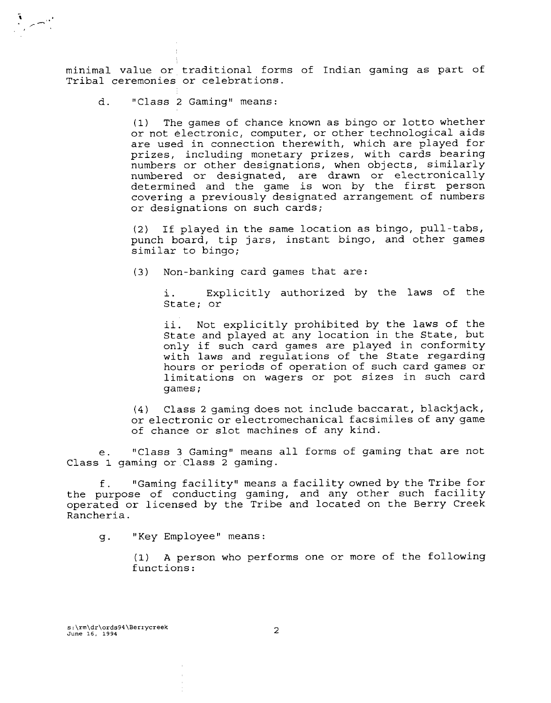minimal value or traditional forms of Indian gaming as part of Tribal ceremonies or celebrations.

d. "Class 2 Gaming" means:

 $\sim$   $\sim$   $\sim$   $\sim$ 

(1) The games of chance known as bingo or lotto whether or not electronic, computer, or other technological aids are used in connection therewith, which are played for prizes, including monetary prizes, with cards bearing numbers or other designations, when objects, similarly numbered or designated, are drawn or electronically determined and the game is won by the first person covering a previously designated arrangement of numbers or designations on such cards;

(2) If played in the same location as bingo, pull-tabs, punch board, tip jars, instant bingo, and other games similar to bingo;

(3) Non-banking card games that are:

i. Explicitly authorized by the laws of the State; or

ii. Not explicitly prohibited by the laws of the State and played at any location in the State, but only if such card games are played in conformity with laws and regulations of the State regarding hours or periods of operation of such card games or limitations on wagers or pot sizes in such card<br>games;

(4) Class 2 gaming does not include baccarat, blackjack, or electronic or electromechanical facsimiles of any game of chance or slot machines of any kind.

e. "Class 3 Gaming" means all forms of gaming that are not Class 1 gaming or Class 2 gaming.

f. "Gaming facility" means a facility owned by the Tribe for the purpose of conducting gaming, and any other such facility operated or licensed by the Tribe and located on the Berry Creek Rancheria.

g. "Key Employee" means :

**(1)** A person who performs one or more of the following functions: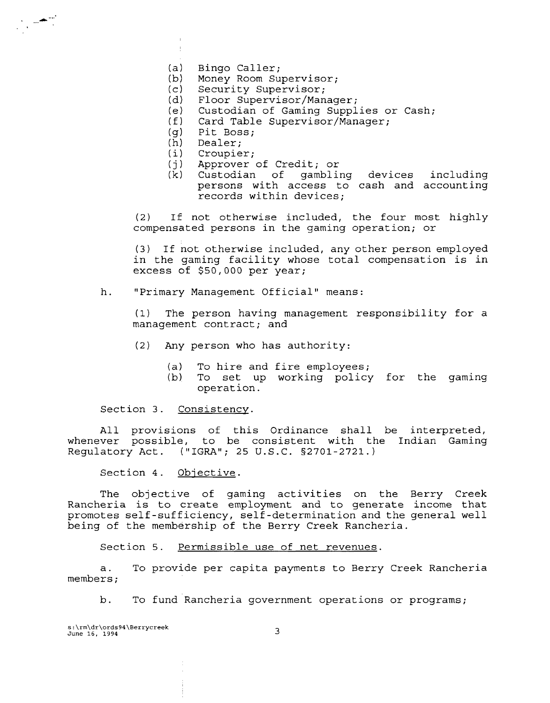- $(a)$ Bingo Caller;
- Money Room Supervisor;  $(b)$
- Security Supervisor;  $(c)$
- Floor Supervisor/Manager;  $(d)$
- Custodian of Gaming Supplies or Cash;  $(e)$
- $(f)$ Card Table Supervisor/Manager;
- Pit Boss;  $(q)$
- Dealer;  $(h)$

 $\pm$ 

- $(i)$ Croupier;
- $(i)$ Approver of Credit; or
- (k) Custodian of gambling devices including persons with access to cash and accounting records within devices;

(2) If not otherwise included, the four most highly compensated persons in the gaming operation; or

(3) If not otherwise included, any other person employed in the gaming facility whose total compensation is in excess of \$50,000 per year;

h. "Primary Management Official" means:

(1) The person having management responsibility for a management contract; and

- (2) Any person who has authority:
	- (a) To hire and fire employees;<br>(b) To set up working policy
	- To set up working policy for the gaming operation.

Section 3. Consistency.

All provisions of this Ordinance shall be interpreted, whenever possible, to be consistent with the Indian Gaming Regulatory Act. ("IGRA"; 25 U.S.C. 52701-2721.)

Section 4. Objective.

The objective of gaming activities on the Berry Creek Rancheria is to create employment and to generate income that promotes self-sufficiency, self-determination and the general well being of the membership of the Berry Creek Rancheria.

Section 5. Permissible use of net revenues.

a. To provide per capita payments to Berry Creek Rancheria members ;

b. To fund Rancheria government operations or programs;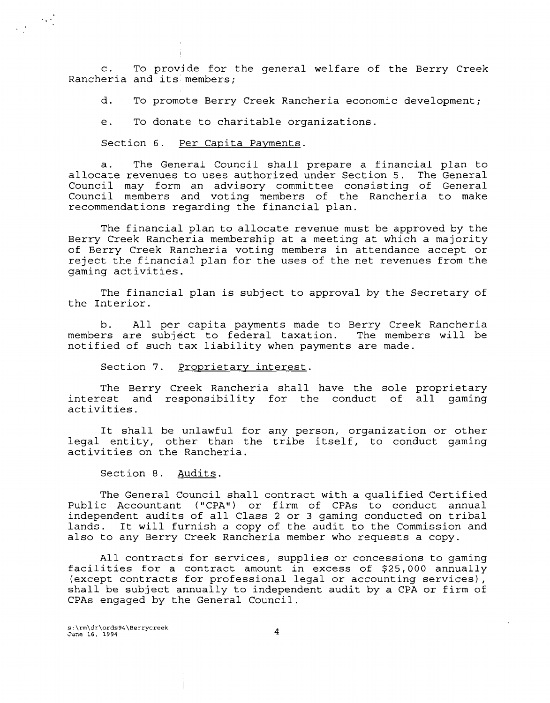c. To provide for the general welfare of the Berry Creek Rancheria and its members;

d. To promote Berry Creek Rancheria economic development;

e. To donate to charitable organizations.

Section 6. Per Capita Payments.

a. The General Council shall prepare a financial plan to allocate revenues to uses authorized under Section 5. The General Council may form an advisory committee consisting of General Council members and voting members of the Rancheria to make recommendations regarding the financial plan.

The financial plan to allocate revenue must be approved by the Berry Creek Rancheria membership at a meeting at which a majority of Berry Creek Rancheria voting members in attendance accept or reject the financial plan for the uses of the net revenues from the gaming activities.

The financial plan is subject to approval by the Secretary of the Interior.

b. All per capita payments made to Berry Creek Rancheria members are subject to federal taxation. The members will be notified of such tax liability when payments are made.

Section 7. Proprietary interest.

The Berry Creek Rancheria shall have the sole proprietary interest and responsibility for the conduct of all gaming activities.

It shall be unlawful for any person, organization or other legal entity, other than the tribe itself, to conduct gaming activities on the Rancheria.

Section 8. Audits.

The General Council shall contract with a qualified Certified Public Accountant ("CPA") or firm of CPAs to conduct annual independent audits of all Class 2 or 3 gaming conducted on tribal lands. It will furnish a copy of the audit to the Commission and also to any Berry Creek Rancheria member who requests a copy.

All contracts for services, supplies or concessions to gaming facilities for a contract amount in excess of \$25,000 annually (except contracts for professional legal or accounting services), shall be subject annually to independent audit by a CPA or firm of CPAs engaged by the General Council.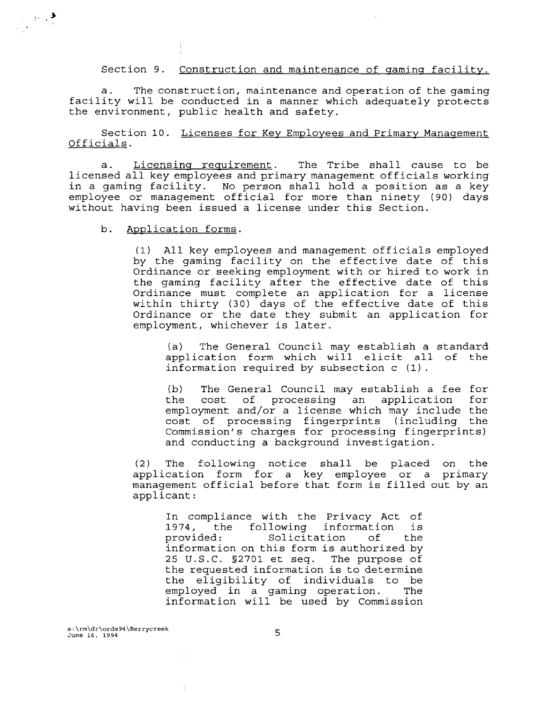Section 9. Construction and maintenance of gaming facility.

The construction, maintenance and operation of the gaming facility will be conducted in a manner which adequately protects the environment, public health and safety.

Section 10. Licenses for Key Employees and Primary Management Officials.

a. Licensing requirement. The Tribe shall cause to be licensed all key employees and primary management officials working in a gaming facility. No person shall hold a position as a key employee or management official for more than ninety (90) days without having been issued a license under this Section.

Application forms. b.

 $\label{eq:2} \frac{1}{\sqrt{2}}\int_{\mathbb{R}^3} \frac{1}{2\pi}\int_{\mathbb{R}^3} \frac{1}{\sqrt{2\pi}}\,d\mu$ 

(1) All key employees and management officials employed by the gaming facility on the effective date of this Ordinance or seeking employment with or hired to work in the gaming facility after the effective date of this Ordinance must complete an application for a license within thirty (30) days of the effective date of this Ordinance or the date they submit an application for employment, whichever is later.

(a) The General Council may establish a standard application form which will elicit all of the information required by subsection c (1).

(b) The General Council may establish a fee for the cost of processing an application for employment and/or a license which may include the cost of processing fingerprints (including the Commission's charges for processing fingerprints) and conducting a background investigation.

(2) The following notice shall be placed on the application form for a key employee or a primary management official before that form is filled out by an applicant:

In compliance with the Privacy Act of<br>1974, the following information is 1974, the following information is Solicitation of the information on this form is authorized by 25 U.S.C. S2701 et seq. The purpose of the requested information is to determine the eligibility of individuals to be employed in a gaming operation. The information will be used by Commission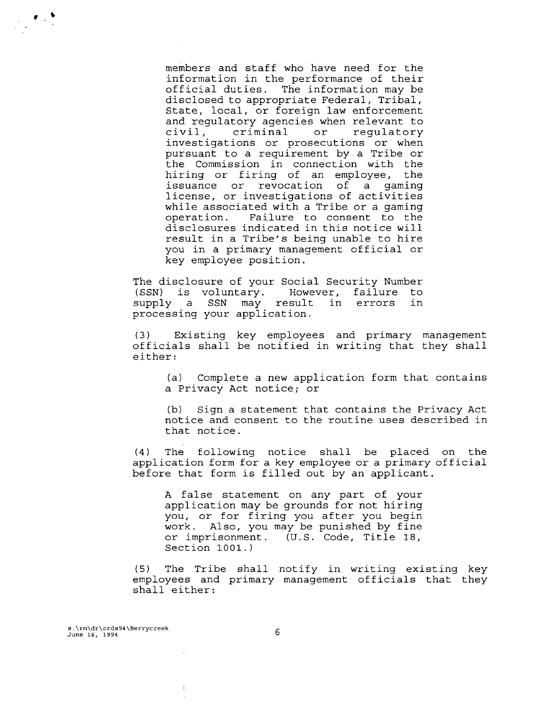members and staff who have need for the information in the performance of their official duties. The information may be disclosed to appropriate Federal, Tribal, State, local, or foreign law enforcement and regulatory agencies when relevant to<br>civil, criminal or regulatory requlatory investigations or prosecutions or when pursuant to a requirement by a Tribe or the Commission in connection with the hiring or firing of an employee, the issuance or revocation of a gaming license, or investigations of activities while associated with a Tribe or a gaming<br>operation. Failure to consent to the Failure to consent to the disclosures indicated in this notice will result in a Tribe's being unable to hire you in a primary management official or key employee position.

The disclosure of your Social Security Number (SSN) is voluntary. However, failure to supply a SSN may result in errors in processing your application.

Existing key employees and primary management officials shall be notified in writing that they shall either:

(a) Complete a new application form that contains a Privacy Act notice; or

**(b)** Sign a statement that contains the Privacy Act notice and consent to the routine uses described in that notice.

(4) The following notice shall be placed on the application form for a key employee or a primary official before that form is filled out by an applicant.

A false statement on any part of your application may be grounds for not hiring you, or for firing you after you begin work. Also, you may be punished by fine or imprisonment. (U.S. Code, Title **18,**  Section **1001.** )

(5) The Tribe shall notify in writing existing key employees and primary management officials that they shall either: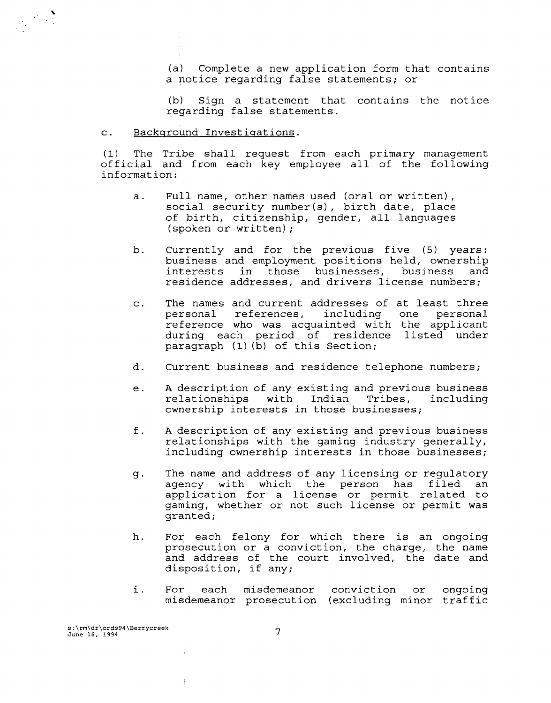(a) Complete a new application form that contains a notice regarding false statements; or

(b) Sign a statement that contains the notice regarding false statements.

#### Backqround Investiqations.  $\mathbf{c}$ .

 $\label{eq:2} \begin{array}{c} \mathcal{L}_{\text{max}}(\mathbf{X}) = \mathcal{L}_{\text{max}}(\mathbf{X}) \\ \mathcal{L}_{\text{max}}(\mathbf{X}) = \mathcal{L}_{\text{max}}(\mathbf{X}) \end{array}$ 

(1) The Tribe shall request from each primary management official and from each key employee all of the following information:

- a. Full name, other names used (oral or written) , social security number (s) , birth date, place of birth, citizenship, gender, all languages (spoken or written) ;
- b. Currently and for the previous five (5) years: business and employment positions held, ownership interests in those businesses, business and residence addresses, and drivers license numbers;
- c. The names and current addresses of at least three references, including one reference who was acquainted with the applicant during each period of residence listed under paragraph (1) **(b)** of this Section;
- d. Current business and residence telephone numbers;
- e. A description of any existing and previous business relationships with Indian Tribes, including ownership interests in those businesses;
- f. A description of any existing and previous business relationships with the gaming industry generally, including ownership interests in those businesses;
- g. The name and address of any licensing or regulatory agency with which the person has filed an application for a license or permit related to gaming, whether or not such license or permit was granted;
- h. For each felony for which there is an ongoing prosecution or a conviction, the charge, the name and address of the court involved, the date and disposition, if any;
- i. For each misdemeanor conviction or ongoing misdemeanor prosecution (excluding minor traffic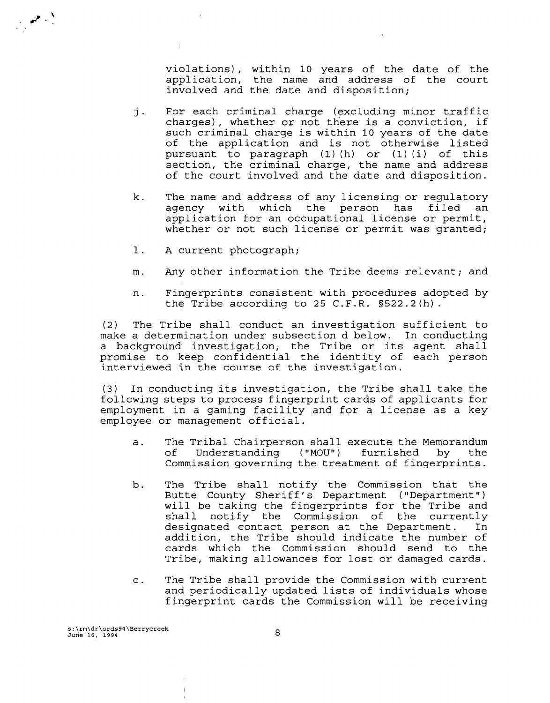violations), within 10 years of the date of the application, the name and address of the court involved and the date and disposition;

- j. For each criminal charge (excluding minor traffic charges), whether or not there is a conviction, if such criminal charge is within **10** years of the date of the application and is not otherwise listed pursuant to paragraph **(1)** (h) or (1) (i) of this section, the criminal charge, the name and address of the court involved and the date and disposition.
- k. The name and address of any licensing or regulatory person has filed an application for an occupational license or permit, whether or not such license or permit was granted;
- 1. A current photograph;
- m. Any other information the Tribe deems relevant; and
- n. Fingerprints consistent with procedures adopted by the Tribe according to 25 C.F.R. §522.2(h).

(2) The Tribe shall conduct an investigation sufficient to make a determination under subsection d below. In conducting a background investigation, the Tribe or its agent shall promise to keep confidential the identity of each person interviewed in the course of the investigation.

(3) In conducting its investigation, the Tribe shall take the following steps to process fingerprint cards of applicants for employment in a gaming facility and for a license as a key employee or management official.

- a. The Tribal Chairperson shall execute the Memorandum<br>of Understanding ("MOU") furnished by the Understanding ("MOU") Commission governing the treatment of fingerprints.
- b. The Tribe shall notify the Commission that the Butte County Sheriff's Department ("Department") will be taking the fingerprints for the Tribe and shall notify the Commission of the currently designated contact person at the Department. In addition, the Tribe should indicate the number of cards which the Commission should send to the Tribe, making allowances for lost or damaged cards.
- c. The Tribe shall provide the Commission with current and periodically updated lists of individuals whose fingerprint cards the Commission will be receiving

**s:\rm\dr\ords94\Berrycreek June 16, 1994** 

 $\mathscr{L}^{\mathcal{N}}$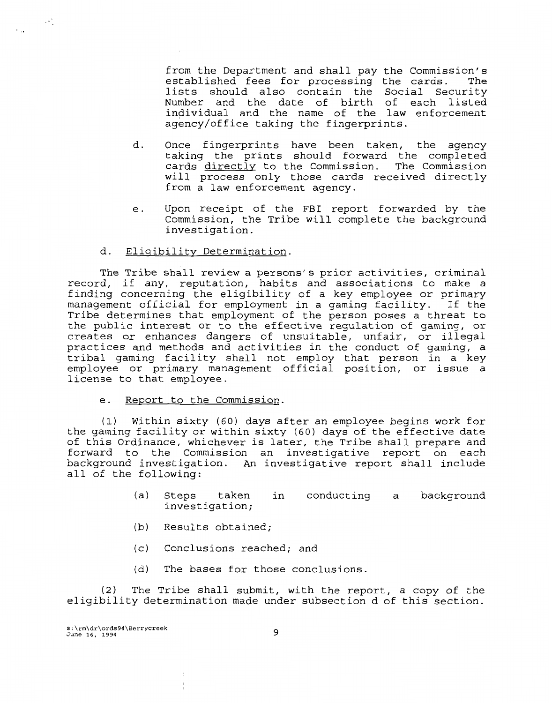from the Department and shall pay the Commission's established fees for processing the cards. The lists should also contain the Social Security Number and the date of birth of each listed individual and the name of the law enforcement agency/office taking the fingerprints.

- $d_{\perp}$ Once fingerprints have been taken, the agency taking the prints should forward the completed cards directly to the Commission. The Commission will process only those cards received directly from a law enforcement agency.
- e. Upon receipt of the FBI report forwarded by the Commission, the Tribe will complete the background investigation.
- Eliqibility Determination. d.

The Tribe shall review a persons's prior activities, criminal record, if any, reputation, habits and associations to make a finding concerning the eligibility of a key employee or primary management official for employment in a gaming facility. If the management official for employment of the person poses a threat to the public interest or to the effective regulation of gaming, or creates or enhances dangers of unsuitable, unfair, or illegal practices and methods and activities in the conduct of gaming, a tribal gaming facility shall not employ that person in **a** key employee or primary management official position, or issue a license to that employee.

e. Report to the Commission.

(1) Within sixty (60) days after an employee begins work for the gaming facility or within sixty (60) days of the effective date of this Ordinance, whichever is later, the Tribe shall prepare and forward to the Commission an investigative report on each background investigation. An investigative report shall include all of the following:

- (a) Steps taken in conducting a background investigation;
- **(b)** Results obtained;
- (c) Conclusions reached; and
- (d) The bases for those conclusions.

(2) The Tribe shall submit, with the report, a copy of the eligibility determination made under subsection d of this section.

**s:\rm\dr\ords94\Berrycreek June 16, 1994** 

 $\mathbb{R}^n$ 

 $\ddots$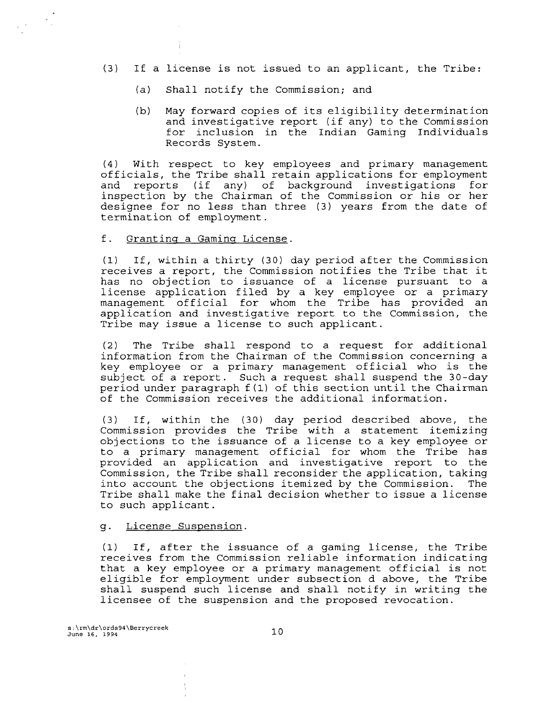- **(3)** If a license is not issued to an applicant, the Tribe:
	- (a) Shall notify the Commission; and
	- (b) May forward copies of its eligibility determination and investigative report (if any) to the Commission for inclusion in the Indian Gaming Individuals Records System.

(4) With respect to key employees and primary management officials, the Tribe shall retain applications for employment and reports (if any) of background investigations for inspection by the Chairman of the Commission or his or her designee for no less than three (3) years from the date of termination of employment.

#### f. Grantinq a Gaminq License.

**(1)** If, within a thirty (30) day period after the Commission receives a report, the Commission notifies the Tribe that it has no objection to issuance of a license pursuant to a license application filed by a key employee or a primary management official for whom the Tribe has provided an application and investigative report to the Commission, the Tribe may issue a license to such applicant.

(2) The Tribe shall respond to a request for additional information from the Chairman of the Commission concerning a key employee or a primary management official who is the subject of a report. Such a request shall suspend the 30-day period under paragraph f (1) of this section until the Chairman of the Commission receives the additional information.

(3) If, within the (30) day period described above, the Commission provides the Tribe with a statement itemizing objections to the issuance of a license to a key employee or to a primary management official for whom the Tribe has provided an application and investigative report to the Commission, the Tribe shall reconsider the application, taking into account the objections itemized by the Commission. The Tribe shall make the final decision whether to issue a license to such applicant.

# g. License Suspension.

(1) If, after the issuance of a gaming license, the Tribe receives from the Commission reliable information indicating that a key employee or a primary management official is not eligible for employment under subsection d above, the Tribe shall suspend such license and shall notify in writing the licensee of the suspension and the proposed revocation.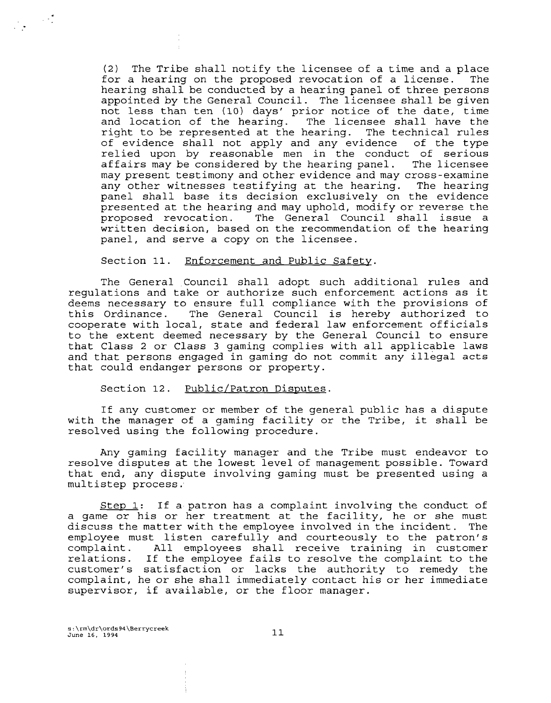(2) The Tribe shall notify the licensee of a time and a place for a hearing on the proposed revocation of a license. hearing shall be conducted by a hearing panel of three persons appointed by the General Council. The licensee shall be given not less than ten **(10)** days' prior notice of the date, time and location of the hearing. The licensee shall have the right to be represented at the hearing. The technical rules<br>of evidence shall not apply and any evidence of the type of evidence shall not apply and any evidence relied upon by reasonable men in the conduct of serious<br>affairs may be considered by the hearing panel. The licensee affairs may be considered by the hearing panel. may present testimony and other evidence and may cross-examine any other witnesses testifying at the hearing. The hearing panel shall base its decision exclusively on the evidence presented at the hearing and may uphold, modify or reverse the proposed revocation. The General Council shall issue a The General Council shall issue a written decision, based on the recommendation of the hearing panel, and serve a copy on the licensee.

### Section 11. Enforcement and Public Safety.

The General Council shall adopt such additional rules and regulations and take or authorize such enforcement actions as it deems necessary to ensure full compliance with the provisions of this Ordinance. The General Council is hereby authorized to cooperate with local, state and federal law enforcement officials to the extent deemed necessary by the General Council to ensure that Class 2 or Class 3 gaming complies with all applicable laws and that persons engaged in gaming do not **commit** any illegal **acts**  that could endanger persons or property.

Section 12. Public/Patron Disputes.

If any customer or member of the general public has a dispute with the manager of a gaming facility or the Tribe, it shall be resolved using the following procedure.

Any gaming facility manager and the Tribe must endeavor to resolve disputes at the lowest level of management possible. Toward that end, any dispute involving gaming must be presented using a multistep process:

Step **1:** If a patron has a complaint involving the conduct of a game or his or her treatment at the facility, he or she must discuss the matter with the employee involved in the incident. The employee must listen carefully and courteously to the patron's complaint. All employees shall receive training in customer relations. If the employee fails to resolve the complaint to the customer's satisfaction or lacks the authority to remedy the complaint, he or she shall immediately contact his or her immediate supervisor, if available, or the floor manager.

**s:\rm\dr\ords94\Berrycreek June 16, 1994**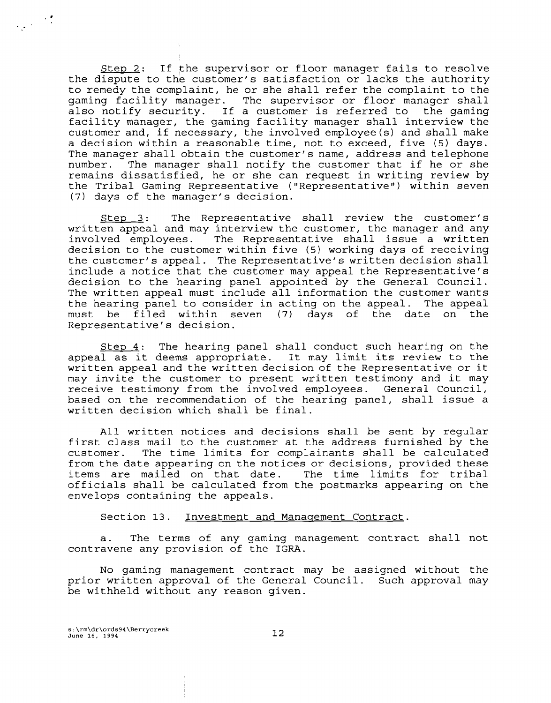Step 2: If the supervisor or floor manager fails to resolve the dispute to the customer's satisfaction or lacks the authority to remedy the complaint, he or she shall refer the complaint to the gaming facility manager. The supervisor or floor manager shall also notify security. If a customer is referred to the gaming facility manager, the gaming facility manager shall interview the customer and, if necessary, the involved employee (s) and shall make a decision within a reasonable time, not to exceed, five (5) days. The manager shall obtain the customer's name, address and telephone<br>number. The manager shall notify the customer that if he or she The manager shall notify the customer that if he or she remains dissatisfied, he or she can request in writing review by the Tribal Gaming Representative ("Representative") within seven (7) days of the manager's decision.

Stew 3: The Representative shall review the customer's written appeal and may interview the customer, the manager and any involved employees. The Representative shall issue a written decision to the customer within five (5) working days of receiving the customer's appeal. The Representative's written decision shall include a notice that the customer may appeal the Representative's decision to the hearing panel appointed by the General Council. The written appeal must include all information the customer wants the hearing panel to consider in acting on the appeal. The appeal must be filed within seven (7) days of the date on the Representative's decision.

Step  $4$ : The hearing panel shall conduct such hearing on the appeal as it deems appropriate. It may limit its review to the written appeal and the written decision of the Representative or it may invite the customer to present written testimony and it may receive testimony from the involved employees. General Council, based on the recommendation of the hearing panel, shall issue a written decision which shall be final.

All written notices and decisions shall be sent by regular first class mail to the customer at the address furnished by the customer. The time limits for complainants shall be calculated from the date appearing on the notices or decisions, provided these items are mailed on that date. The time limits for tribal officials shall be calculated from the postmarks appearing on the envelops containing the appeals.

Section 13. Investment and Management Contract.

a. The terms of any gaming management contract shall not contravene any provision of the IGRA.

No gaming management contract may be assigned without the prior written approval of the General Council. Such approval may be withheld without any reason given.

**s:\rm\dr\ords94\Berrycreek June 16, 1994**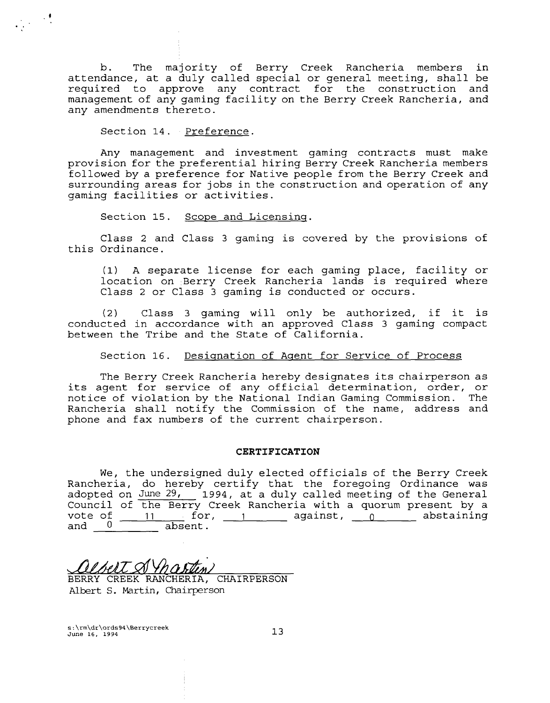b. The majority of Berry Creek Rancheria members in attendance, at a duly called special or general meeting, shall be required to approve any contract for the construction and management of any gaming facility on the Berry Creek Rancheria, and any amendments thereto.

Section 14. Preference.

Any management and investment gaming contracts must make provision for the preferential hiring Berry Creek Rancheria members followed by a preference for Native people from the Berry Creek and surrounding areas for jobs in the construction and operation of any gaming facilities or activities.

Section 15. Scope and Licensing.

Class 2 and Class 3 gaming is covered by the provisions of this Ordinance.

**(1)** A separate license for each gaming place, facility or location on Berry Creek Rancheria lands is required where Class 2 or Class 3 gaming is conducted or occurs.

(2) Class 3 gaming will only be authorized, if it is conducted in accordance with an approved Class 3 gaming compact between the Tribe and the State of California.

Section **16.** Desiqnation of Aaent for Service of Process

The Berry Creek Rancheria hereby designates its chairperson as its agent for service of any official determination, order, or notice of violation by the National Indian Gaming Commission. The Rancheria shall notify the Commission of the name, address and phone and fax numbers of the current chairperson.

## **CERTIFICATION**

We, the undersigned duly elected officials of the Berry Creek Rancheria, do hereby certify that the foregoing Ordinance was adopted on June 29, 1994, at a duly called meeting of the General Council of the Berry Creek Rancheria with a quorum present by a vote of  $\frac{11}{2}$  for,  $\frac{1}{2}$  against,  $\frac{0}{2}$  abstaining and  $0$  absent.

**1** 

BERRY CREEK RANCHERIA, CHAIRPERSON **Albert** S. Martin, Chairperson